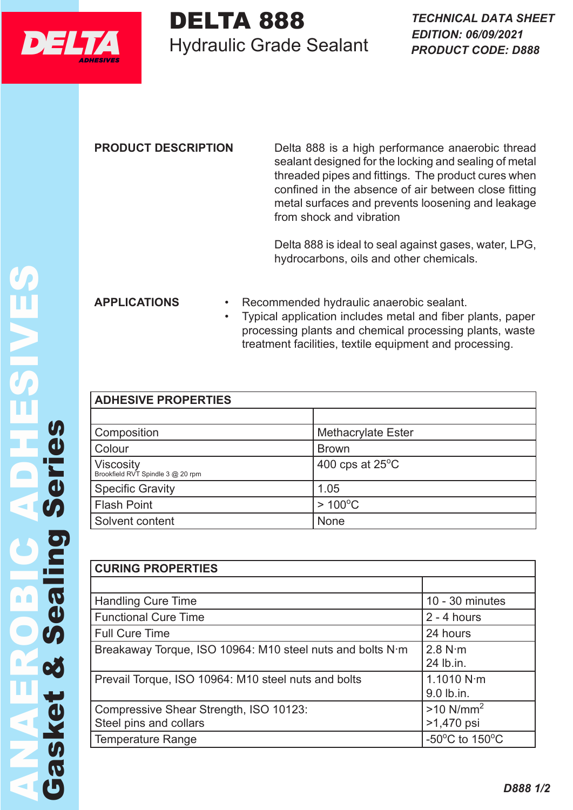

## DELTA 888 Hydraulic Grade Sealant DELTA 888 TECHNICAL DA

**PRODUCT DESCRIPTION** Delta 888 is a high performance anaerobic thread sealant designed for the locking and sealing of metal threaded pipes and fittings. The product cures when confined in the absence of air between close fitting metal surfaces and prevents loosening and leakage from shock and vibration

> Delta 888 is ideal to seal against gases, water, LPG, hydrocarbons, oils and other chemicals.

**APPLICATIONS** • Recommended hydraulic anaerobic sealant.

• Typical application includes metal and fiber plants, paper processing plants and chemical processing plants, waste treatment facilities, textile equipment and processing.

| <b>ADHESIVE PROPERTIES</b>                            |                           |  |
|-------------------------------------------------------|---------------------------|--|
|                                                       |                           |  |
| Composition                                           | <b>Methacrylate Ester</b> |  |
| Colour                                                | <b>Brown</b>              |  |
| <b>Viscosity</b><br>Brookfield RVT Spindle 3 @ 20 rpm | 400 cps at $25^{\circ}$ C |  |
| <b>Specific Gravity</b>                               | 1.05                      |  |
| <b>Flash Point</b>                                    | $>100^{\circ}$ C          |  |
| Solvent content                                       | None                      |  |

| <b>CURING PROPERTIES</b>                                  |                                                      |  |  |  |
|-----------------------------------------------------------|------------------------------------------------------|--|--|--|
|                                                           |                                                      |  |  |  |
| <b>Handling Cure Time</b>                                 | $10 - 30$ minutes                                    |  |  |  |
| <b>Functional Cure Time</b>                               | $2 - 4$ hours                                        |  |  |  |
| <b>Full Cure Time</b>                                     | 24 hours                                             |  |  |  |
| Breakaway Torque, ISO 10964: M10 steel nuts and bolts N m | 2.8 N·m                                              |  |  |  |
|                                                           | 24 lb.in.                                            |  |  |  |
| Prevail Torque, ISO 10964: M10 steel nuts and bolts       | 1.1010 $N \cdot m$                                   |  |  |  |
|                                                           | 9.0 lb.in.                                           |  |  |  |
| Compressive Shear Strength, ISO 10123:                    | $>10$ N/mm <sup>2</sup>                              |  |  |  |
| Steel pins and collars                                    | >1,470 psi                                           |  |  |  |
| Temperature Range                                         | -50 $\mathrm{^{\circ}C}$ to 150 $\mathrm{^{\circ}C}$ |  |  |  |